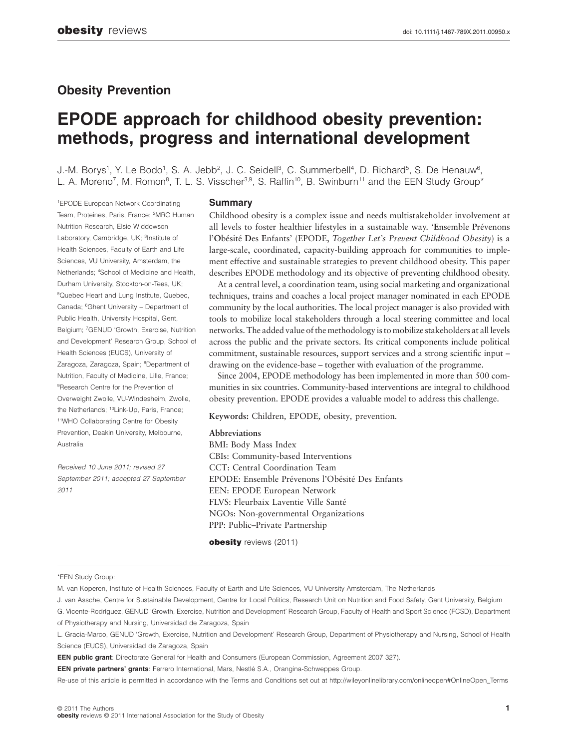## **Obesity Prevention**

# **EPODE approach for childhood obesity prevention: methods, progress and international development**

J.-M. Borys<sup>1</sup>, Y. Le Bodo<sup>1</sup>, S. A. Jebb<sup>2</sup>, J. C. Seidell<sup>3</sup>, C. Summerbell<sup>4</sup>, D. Richard<sup>5</sup>, S. De Henauw<sup>6</sup>, L. A. Moreno<sup>7</sup>, M. Romon<sup>8</sup>, T. L. S. Visscher<sup>3,9</sup>, S. Raffin<sup>10</sup>, B. Swinburn<sup>11</sup> and the EEN Study Group\*

1EPODE European Network Coordinating Team, Proteines, Paris, France; 2MRC Human Nutrition Research, Elsie Widdowson Laboratory, Cambridge, UK; <sup>3</sup>Institute of Health Sciences, Faculty of Earth and Life Sciences, VU University, Amsterdam, the Netherlands; 4School of Medicine and Health, Durham University, Stockton-on-Tees, UK; 5Quebec Heart and Lung Institute, Quebec, Canada; <sup>6</sup>Ghent University - Department of Public Health, University Hospital, Gent, Belgium; 7GENUD 'Growth, Exercise, Nutrition and Development' Research Group, School of Health Sciences (EUCS), University of Zaragoza, Zaragoza, Spain; <sup>8</sup>Department of Nutrition, Faculty of Medicine, Lille, France; 9Research Centre for the Prevention of Overweight Zwolle, VU-Windesheim, Zwolle, the Netherlands: <sup>10</sup>Link-Up, Paris, France: 11WHO Collaborating Centre for Obesity Prevention, Deakin University, Melbourne, Australia

*Received 10 June 2011; revised 27 September 2011; accepted 27 September 2011*

#### **Summary**

Childhood obesity is a complex issue and needs multistakeholder involvement at all levels to foster healthier lifestyles in a sustainable way. '**E**nsemble **P**révenons l'**O**bésité **D**es **E**nfants' (EPODE, *Together Let's Prevent Childhood Obesity*) is a large-scale, coordinated, capacity-building approach for communities to implement effective and sustainable strategies to prevent childhood obesity. This paper describes EPODE methodology and its objective of preventing childhood obesity.

At a central level, a coordination team, using social marketing and organizational techniques, trains and coaches a local project manager nominated in each EPODE community by the local authorities. The local project manager is also provided with tools to mobilize local stakeholders through a local steering committee and local networks. The added value of the methodology is to mobilize stakeholders at all levels across the public and the private sectors. Its critical components include political commitment, sustainable resources, support services and a strong scientific input – drawing on the evidence-base – together with evaluation of the programme.

Since 2004, EPODE methodology has been implemented in more than 500 communities in six countries. Community-based interventions are integral to childhood obesity prevention. EPODE provides a valuable model to address this challenge.

**Keywords:** Children*,* EPODE*,* obesity*,* prevention*.*

### **Abbreviations**

BMI: Body Mass Index CBIs: Community-based Interventions CCT: Central Coordination Team EPODE: Ensemble Prévenons l'Obésité Des Enfants EEN: EPODE European Network FLVS: Fleurbaix Laventie Ville Santé NGOs: Non-governmental Organizations PPP: Public–Private Partnership

**obesity** reviews (2011)

#### \*EEN Study Group:

J. van Assche, Centre for Sustainable Development, Centre for Local Politics, Research Unit on Nutrition and Food Safety, Gent University, Belgium

**EEN public grant**: Directorate General for Health and Consumers (European Commission, Agreement 2007 327).

**EEN private partners' grants**: Ferrero International, Mars, Nestlé S.A., Orangina-Schweppes Group.

Re-use of this article is permitted in accordance with the Terms and Conditions set out at http://wileyonlinelibrary.com/onlineopen#OnlineOpen\_Terms

M. van Koperen, Institute of Health Sciences, Faculty of Earth and Life Sciences, VU University Amsterdam, The Netherlands

G. Vicente-Rodríguez, GENUD 'Growth, Exercise, Nutrition and Development' Research Group, Faculty of Health and Sport Science (FCSD), Department of Physiotherapy and Nursing, Universidad de Zaragoza, Spain

L. Gracia-Marco, GENUD 'Growth, Exercise, Nutrition and Development' Research Group, Department of Physiotherapy and Nursing, School of Health Science (EUCS), Universidad de Zaragoza, Spain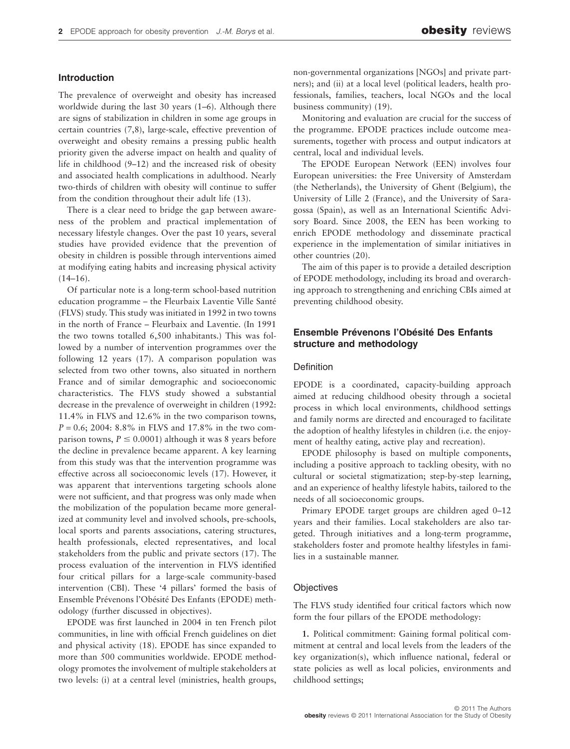### **Introduction**

The prevalence of overweight and obesity has increased worldwide during the last 30 years (1–6). Although there are signs of stabilization in children in some age groups in certain countries (7,8), large-scale, effective prevention of overweight and obesity remains a pressing public health priority given the adverse impact on health and quality of life in childhood (9–12) and the increased risk of obesity and associated health complications in adulthood. Nearly two-thirds of children with obesity will continue to suffer from the condition throughout their adult life (13).

There is a clear need to bridge the gap between awareness of the problem and practical implementation of necessary lifestyle changes. Over the past 10 years, several studies have provided evidence that the prevention of obesity in children is possible through interventions aimed at modifying eating habits and increasing physical activity  $(14–16)$ .

Of particular note is a long-term school-based nutrition education programme – the Fleurbaix Laventie Ville Santé (FLVS) study. This study was initiated in 1992 in two towns in the north of France – Fleurbaix and Laventie. (In 1991 the two towns totalled 6,500 inhabitants.) This was followed by a number of intervention programmes over the following 12 years (17). A comparison population was selected from two other towns, also situated in northern France and of similar demographic and socioeconomic characteristics. The FLVS study showed a substantial decrease in the prevalence of overweight in children (1992: 11.4% in FLVS and 12.6% in the two comparison towns, *P* = 0.6; 2004: 8.8% in FLVS and 17.8% in the two comparison towns,  $P \leq 0.0001$ ) although it was 8 years before the decline in prevalence became apparent. A key learning from this study was that the intervention programme was effective across all socioeconomic levels (17). However, it was apparent that interventions targeting schools alone were not sufficient, and that progress was only made when the mobilization of the population became more generalized at community level and involved schools, pre-schools, local sports and parents associations, catering structures, health professionals, elected representatives, and local stakeholders from the public and private sectors (17). The process evaluation of the intervention in FLVS identified four critical pillars for a large-scale community-based intervention (CBI). These '4 pillars' formed the basis of Ensemble Prévenons l'Obésité Des Enfants (EPODE) methodology (further discussed in objectives).

EPODE was first launched in 2004 in ten French pilot communities, in line with official French guidelines on diet and physical activity (18). EPODE has since expanded to more than 500 communities worldwide. EPODE methodology promotes the involvement of multiple stakeholders at two levels: (i) at a central level (ministries, health groups,

non-governmental organizations [NGOs] and private partners); and (ii) at a local level (political leaders, health professionals, families, teachers, local NGOs and the local business community) (19).

Monitoring and evaluation are crucial for the success of the programme. EPODE practices include outcome measurements, together with process and output indicators at central, local and individual levels.

The EPODE European Network (EEN) involves four European universities: the Free University of Amsterdam (the Netherlands), the University of Ghent (Belgium), the University of Lille 2 (France), and the University of Saragossa (Spain), as well as an International Scientific Advisory Board. Since 2008, the EEN has been working to enrich EPODE methodology and disseminate practical experience in the implementation of similar initiatives in other countries (20).

The aim of this paper is to provide a detailed description of EPODE methodology, including its broad and overarching approach to strengthening and enriching CBIs aimed at preventing childhood obesity.

### **Ensemble Prévenons l'Obésité Des Enfants structure and methodology**

#### Definition

EPODE is a coordinated, capacity-building approach aimed at reducing childhood obesity through a societal process in which local environments, childhood settings and family norms are directed and encouraged to facilitate the adoption of healthy lifestyles in children (i.e. the enjoyment of healthy eating, active play and recreation).

EPODE philosophy is based on multiple components, including a positive approach to tackling obesity, with no cultural or societal stigmatization; step-by-step learning, and an experience of healthy lifestyle habits, tailored to the needs of all socioeconomic groups.

Primary EPODE target groups are children aged 0–12 years and their families. Local stakeholders are also targeted. Through initiatives and a long-term programme, stakeholders foster and promote healthy lifestyles in families in a sustainable manner.

#### **Objectives**

The FLVS study identified four critical factors which now form the four pillars of the EPODE methodology:

**1.** Political commitment: Gaining formal political commitment at central and local levels from the leaders of the key organization(s), which influence national, federal or state policies as well as local policies, environments and childhood settings;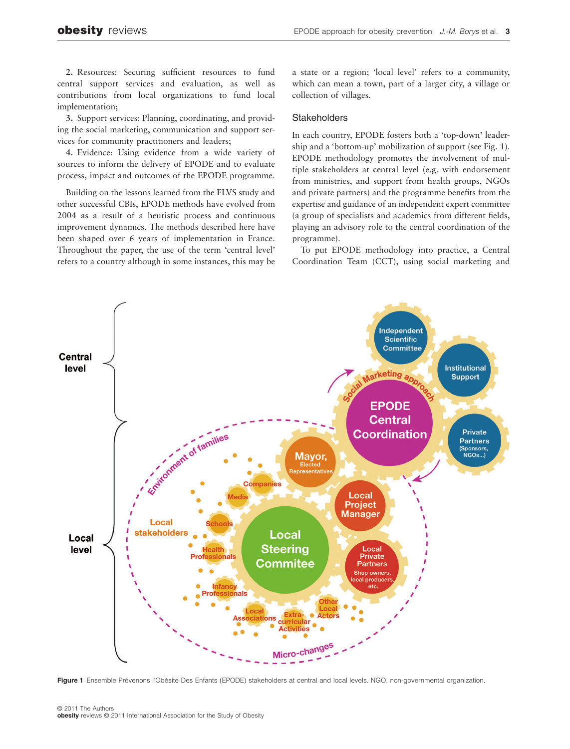**2.** Resources: Securing sufficient resources to fund central support services and evaluation, as well as contributions from local organizations to fund local implementation;

**3.** Support services: Planning, coordinating, and providing the social marketing, communication and support services for community practitioners and leaders;

**4.** Evidence: Using evidence from a wide variety of sources to inform the delivery of EPODE and to evaluate process, impact and outcomes of the EPODE programme.

Building on the lessons learned from the FLVS study and other successful CBIs, EPODE methods have evolved from 2004 as a result of a heuristic process and continuous improvement dynamics. The methods described here have been shaped over 6 years of implementation in France. Throughout the paper, the use of the term 'central level' refers to a country although in some instances, this may be a state or a region; 'local level' refers to a community, which can mean a town, part of a larger city, a village or collection of villages.

#### **Stakeholders**

In each country, EPODE fosters both a 'top-down' leadership and a 'bottom-up' mobilization of support (see Fig. 1). EPODE methodology promotes the involvement of multiple stakeholders at central level (e.g. with endorsement from ministries, and support from health groups, NGOs and private partners) and the programme benefits from the expertise and guidance of an independent expert committee (a group of specialists and academics from different fields, playing an advisory role to the central coordination of the programme).

To put EPODE methodology into practice, a Central Coordination Team (CCT), using social marketing and



**Figure 1** Ensemble Prévenons l'Obésité Des Enfants (EPODE) stakeholders at central and local levels. NGO, non-governmental organization.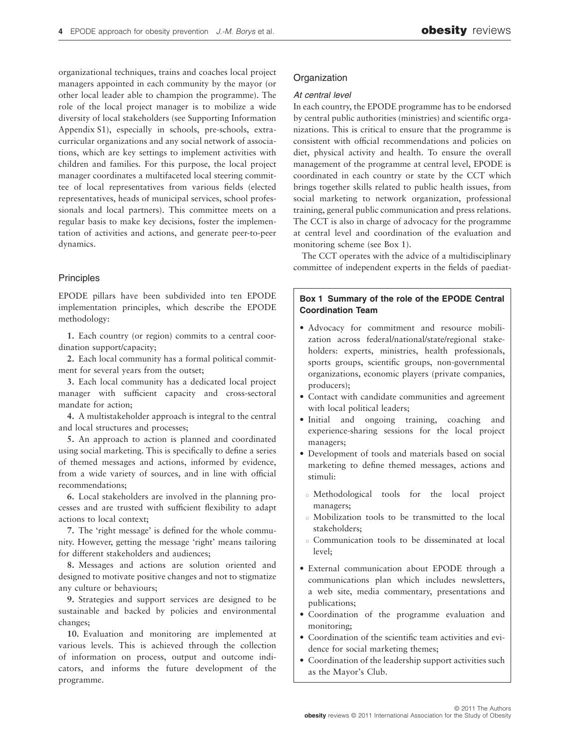organizational techniques, trains and coaches local project managers appointed in each community by the mayor (or other local leader able to champion the programme). The role of the local project manager is to mobilize a wide diversity of local stakeholders (see Supporting Information Appendix S1), especially in schools, pre-schools, extracurricular organizations and any social network of associations, which are key settings to implement activities with children and families. For this purpose, the local project manager coordinates a multifaceted local steering committee of local representatives from various fields (elected representatives, heads of municipal services, school professionals and local partners). This committee meets on a regular basis to make key decisions, foster the implementation of activities and actions, and generate peer-to-peer dynamics.

### Principles

EPODE pillars have been subdivided into ten EPODE implementation principles, which describe the EPODE methodology:

**1.** Each country (or region) commits to a central coordination support/capacity;

**2.** Each local community has a formal political commitment for several years from the outset;

**3.** Each local community has a dedicated local project manager with sufficient capacity and cross-sectoral mandate for action;

**4.** A multistakeholder approach is integral to the central and local structures and processes;

**5.** An approach to action is planned and coordinated using social marketing. This is specifically to define a series of themed messages and actions, informed by evidence, from a wide variety of sources, and in line with official recommendations;

**6.** Local stakeholders are involved in the planning processes and are trusted with sufficient flexibility to adapt actions to local context;

**7.** The 'right message' is defined for the whole community. However, getting the message 'right' means tailoring for different stakeholders and audiences;

**8.** Messages and actions are solution oriented and designed to motivate positive changes and not to stigmatize any culture or behaviours;

**9.** Strategies and support services are designed to be sustainable and backed by policies and environmental changes;

**10.** Evaluation and monitoring are implemented at various levels. This is achieved through the collection of information on process, output and outcome indicators, and informs the future development of the programme.

### **Organization**

#### *At central level*

In each country, the EPODE programme has to be endorsed by central public authorities (ministries) and scientific organizations. This is critical to ensure that the programme is consistent with official recommendations and policies on diet, physical activity and health. To ensure the overall management of the programme at central level, EPODE is coordinated in each country or state by the CCT which brings together skills related to public health issues, from social marketing to network organization, professional training, general public communication and press relations. The CCT is also in charge of advocacy for the programme at central level and coordination of the evaluation and monitoring scheme (see Box 1).

The CCT operates with the advice of a multidisciplinary committee of independent experts in the fields of paediat-

### **Box 1 Summary of the role of the EPODE Central Coordination Team**

- Advocacy for commitment and resource mobilization across federal/national/state/regional stakeholders: experts, ministries, health professionals, sports groups, scientific groups, non-governmental organizations, economic players (private companies, producers);
- Contact with candidate communities and agreement with local political leaders;
- Initial and ongoing training, coaching and experience-sharing sessions for the local project managers;
- Development of tools and materials based on social marketing to define themed messages, actions and stimuli:
	- Methodological tools for the local project managers;
	- Mobilization tools to be transmitted to the local stakeholders;
	- Communication tools to be disseminated at local level;
- External communication about EPODE through a communications plan which includes newsletters, a web site, media commentary, presentations and publications;
- Coordination of the programme evaluation and monitoring;
- Coordination of the scientific team activities and evidence for social marketing themes;
- Coordination of the leadership support activities such as the Mayor's Club.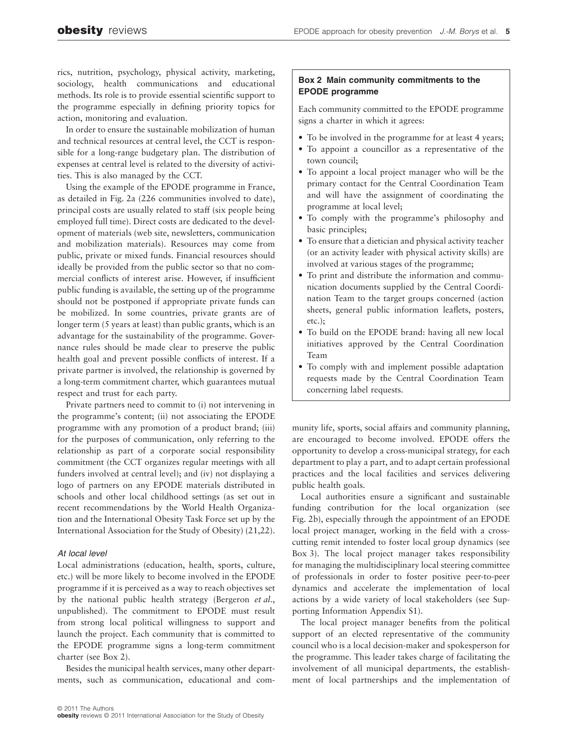rics, nutrition, psychology, physical activity, marketing, sociology, health communications and educational methods. Its role is to provide essential scientific support to the programme especially in defining priority topics for action, monitoring and evaluation.

In order to ensure the sustainable mobilization of human and technical resources at central level, the CCT is responsible for a long-range budgetary plan. The distribution of expenses at central level is related to the diversity of activities. This is also managed by the CCT.

Using the example of the EPODE programme in France, as detailed in Fig. 2a (226 communities involved to date), principal costs are usually related to staff (six people being employed full time). Direct costs are dedicated to the development of materials (web site, newsletters, communication and mobilization materials). Resources may come from public, private or mixed funds. Financial resources should ideally be provided from the public sector so that no commercial conflicts of interest arise. However, if insufficient public funding is available, the setting up of the programme should not be postponed if appropriate private funds can be mobilized. In some countries, private grants are of longer term (5 years at least) than public grants, which is an advantage for the sustainability of the programme. Governance rules should be made clear to preserve the public health goal and prevent possible conflicts of interest. If a private partner is involved, the relationship is governed by a long-term commitment charter, which guarantees mutual respect and trust for each party.

Private partners need to commit to (i) not intervening in the programme's content; (ii) not associating the EPODE programme with any promotion of a product brand; (iii) for the purposes of communication, only referring to the relationship as part of a corporate social responsibility commitment (the CCT organizes regular meetings with all funders involved at central level); and (iv) not displaying a logo of partners on any EPODE materials distributed in schools and other local childhood settings (as set out in recent recommendations by the World Health Organization and the International Obesity Task Force set up by the International Association for the Study of Obesity) (21,22).

### *At local level*

Local administrations (education, health, sports, culture, etc.) will be more likely to become involved in the EPODE programme if it is perceived as a way to reach objectives set by the national public health strategy (Bergeron *et al*., unpublished). The commitment to EPODE must result from strong local political willingness to support and launch the project. Each community that is committed to the EPODE programme signs a long-term commitment charter (see Box 2).

Besides the municipal health services, many other departments, such as communication, educational and comEach community committed to the EPODE programme signs a charter in which it agrees:

- To be involved in the programme for at least 4 years;
- To appoint a councillor as a representative of the town council;
- To appoint a local project manager who will be the primary contact for the Central Coordination Team and will have the assignment of coordinating the programme at local level;
- To comply with the programme's philosophy and basic principles;
- To ensure that a dietician and physical activity teacher (or an activity leader with physical activity skills) are involved at various stages of the programme;
- To print and distribute the information and communication documents supplied by the Central Coordination Team to the target groups concerned (action sheets, general public information leaflets, posters, etc.);
- To build on the EPODE brand: having all new local initiatives approved by the Central Coordination Team
- To comply with and implement possible adaptation requests made by the Central Coordination Team concerning label requests.

munity life, sports, social affairs and community planning, are encouraged to become involved. EPODE offers the opportunity to develop a cross-municipal strategy, for each department to play a part, and to adapt certain professional practices and the local facilities and services delivering public health goals.

Local authorities ensure a significant and sustainable funding contribution for the local organization (see Fig. 2b), especially through the appointment of an EPODE local project manager, working in the field with a crosscutting remit intended to foster local group dynamics (see Box 3). The local project manager takes responsibility for managing the multidisciplinary local steering committee of professionals in order to foster positive peer-to-peer dynamics and accelerate the implementation of local actions by a wide variety of local stakeholders (see Supporting Information Appendix S1).

The local project manager benefits from the political support of an elected representative of the community council who is a local decision-maker and spokesperson for the programme. This leader takes charge of facilitating the involvement of all municipal departments, the establishment of local partnerships and the implementation of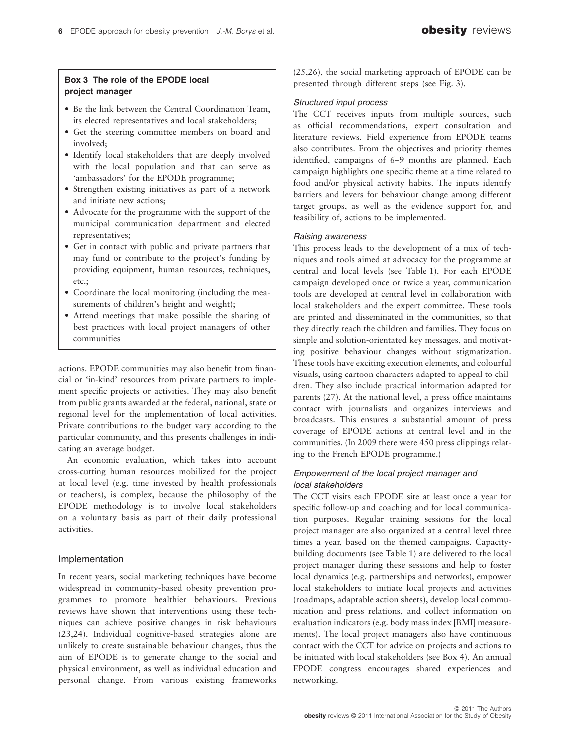### **Box 3 The role of the EPODE local project manager**

- Be the link between the Central Coordination Team, its elected representatives and local stakeholders;
- Get the steering committee members on board and involved;
- Identify local stakeholders that are deeply involved with the local population and that can serve as 'ambassadors' for the EPODE programme;
- Strengthen existing initiatives as part of a network and initiate new actions;
- Advocate for the programme with the support of the municipal communication department and elected representatives;
- Get in contact with public and private partners that may fund or contribute to the project's funding by providing equipment, human resources, techniques, etc.;
- Coordinate the local monitoring (including the measurements of children's height and weight);
- Attend meetings that make possible the sharing of best practices with local project managers of other communities

actions. EPODE communities may also benefit from financial or 'in-kind' resources from private partners to implement specific projects or activities. They may also benefit from public grants awarded at the federal, national, state or regional level for the implementation of local activities. Private contributions to the budget vary according to the particular community, and this presents challenges in indicating an average budget.

An economic evaluation, which takes into account cross-cutting human resources mobilized for the project at local level (e.g. time invested by health professionals or teachers), is complex, because the philosophy of the EPODE methodology is to involve local stakeholders on a voluntary basis as part of their daily professional activities.

#### Implementation

In recent years, social marketing techniques have become widespread in community-based obesity prevention programmes to promote healthier behaviours. Previous reviews have shown that interventions using these techniques can achieve positive changes in risk behaviours (23,24). Individual cognitive-based strategies alone are unlikely to create sustainable behaviour changes, thus the aim of EPODE is to generate change to the social and physical environment, as well as individual education and personal change. From various existing frameworks (25,26), the social marketing approach of EPODE can be presented through different steps (see Fig. 3).

### *Structured input process*

The CCT receives inputs from multiple sources, such as official recommendations, expert consultation and literature reviews. Field experience from EPODE teams also contributes. From the objectives and priority themes identified, campaigns of 6–9 months are planned. Each campaign highlights one specific theme at a time related to food and/or physical activity habits. The inputs identify barriers and levers for behaviour change among different target groups, as well as the evidence support for, and feasibility of, actions to be implemented.

#### *Raising awareness*

This process leads to the development of a mix of techniques and tools aimed at advocacy for the programme at central and local levels (see Table 1). For each EPODE campaign developed once or twice a year, communication tools are developed at central level in collaboration with local stakeholders and the expert committee. These tools are printed and disseminated in the communities, so that they directly reach the children and families. They focus on simple and solution-orientated key messages, and motivating positive behaviour changes without stigmatization. These tools have exciting execution elements, and colourful visuals, using cartoon characters adapted to appeal to children. They also include practical information adapted for parents (27). At the national level, a press office maintains contact with journalists and organizes interviews and broadcasts. This ensures a substantial amount of press coverage of EPODE actions at central level and in the communities. (In 2009 there were 450 press clippings relating to the French EPODE programme.)

### *Empowerment of the local project manager and local stakeholders*

The CCT visits each EPODE site at least once a year for specific follow-up and coaching and for local communication purposes. Regular training sessions for the local project manager are also organized at a central level three times a year, based on the themed campaigns. Capacitybuilding documents (see Table 1) are delivered to the local project manager during these sessions and help to foster local dynamics (e.g. partnerships and networks), empower local stakeholders to initiate local projects and activities (roadmaps, adaptable action sheets), develop local communication and press relations, and collect information on evaluation indicators (e.g. body mass index [BMI] measurements). The local project managers also have continuous contact with the CCT for advice on projects and actions to be initiated with local stakeholders (see Box 4). An annual EPODE congress encourages shared experiences and networking.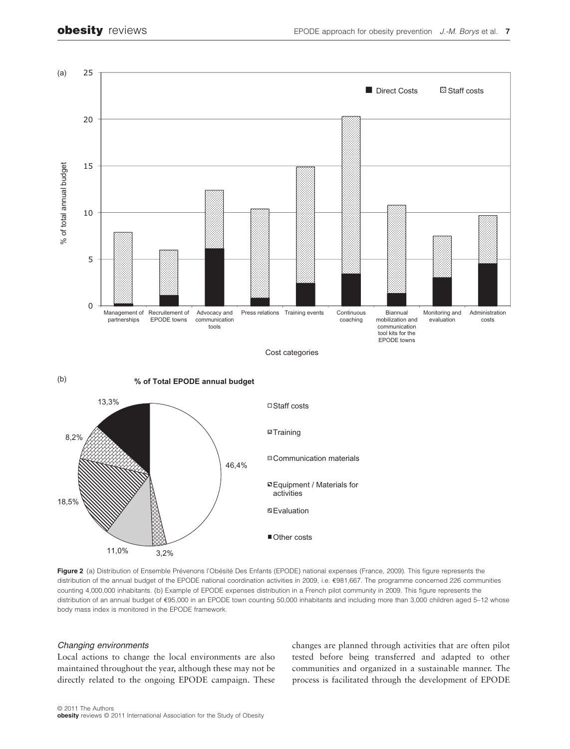

(b)

**% of Total EPODE annual budget** 



**Figure 2** (a) Distribution of Ensemble Prévenons l'Obésité Des Enfants (EPODE) national expenses (France, 2009). This figure represents the distribution of the annual budget of the EPODE national coordination activities in 2009, i.e. €981,667. The programme concerned 226 communities counting 4,000,000 inhabitants. (b) Example of EPODE expenses distribution in a French pilot community in 2009. This figure represents the distribution of an annual budget of €95,000 in an EPODE town counting 50,000 inhabitants and including more than 3,000 children aged 5–12 whose body mass index is monitored in the EPODE framework.

#### *Changing environments*

Local actions to change the local environments are also maintained throughout the year, although these may not be directly related to the ongoing EPODE campaign. These changes are planned through activities that are often pilot tested before being transferred and adapted to other communities and organized in a sustainable manner. The process is facilitated through the development of EPODE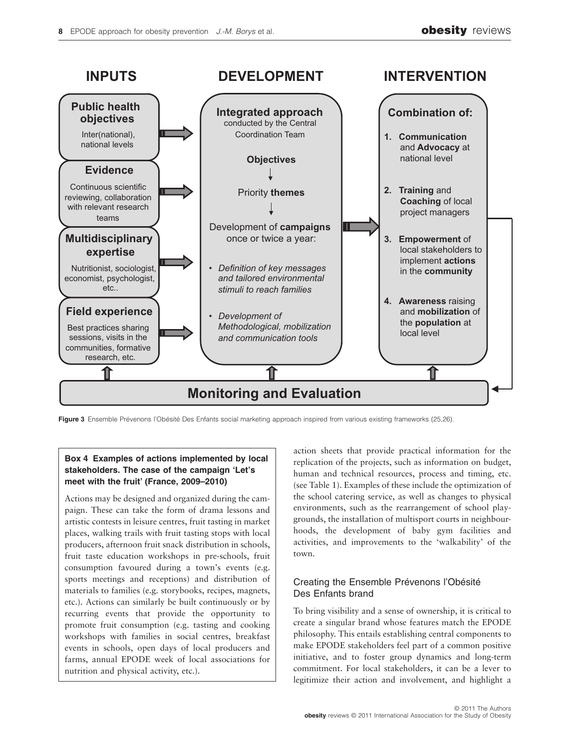

**Figure 3** Ensemble Prévenons l'Obésité Des Enfants social marketing approach inspired from various existing frameworks (25,26).

### **Box 4 Examples of actions implemented by local stakeholders. The case of the campaign 'Let's meet with the fruit' (France, 2009–2010)**

Actions may be designed and organized during the campaign. These can take the form of drama lessons and artistic contests in leisure centres, fruit tasting in market places, walking trails with fruit tasting stops with local producers, afternoon fruit snack distribution in schools, fruit taste education workshops in pre-schools, fruit consumption favoured during a town's events (e.g. sports meetings and receptions) and distribution of materials to families (e.g. storybooks, recipes, magnets, etc.). Actions can similarly be built continuously or by recurring events that provide the opportunity to promote fruit consumption (e.g. tasting and cooking workshops with families in social centres, breakfast events in schools, open days of local producers and farms, annual EPODE week of local associations for nutrition and physical activity, etc.).

action sheets that provide practical information for the replication of the projects, such as information on budget, human and technical resources, process and timing, etc. (see Table 1). Examples of these include the optimization of the school catering service, as well as changes to physical environments, such as the rearrangement of school playgrounds, the installation of multisport courts in neighbourhoods, the development of baby gym facilities and activities, and improvements to the 'walkability' of the town.

### Creating the Ensemble Prévenons l'Obésité Des Enfants brand

To bring visibility and a sense of ownership, it is critical to create a singular brand whose features match the EPODE philosophy. This entails establishing central components to make EPODE stakeholders feel part of a common positive initiative, and to foster group dynamics and long-term commitment. For local stakeholders, it can be a lever to legitimize their action and involvement, and highlight a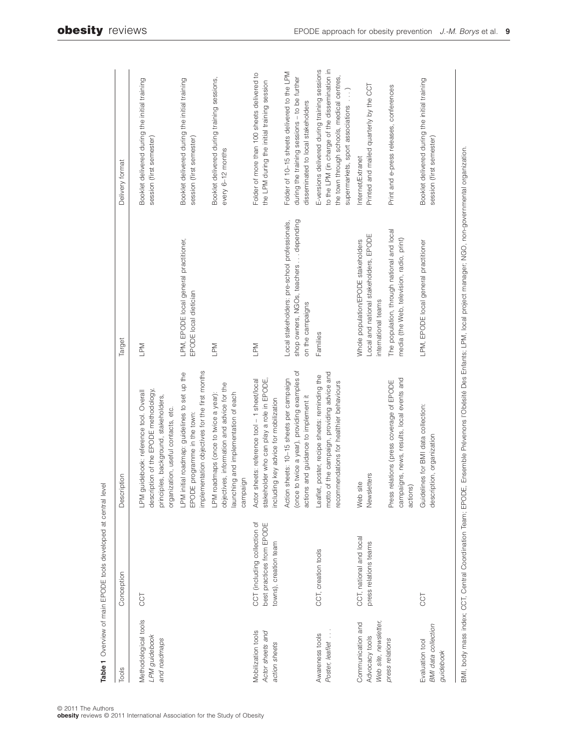| CCT (including collection of<br>best practices from EPODE<br>towns), creation team<br><b>CCT</b><br>Methodological tools<br>Mobilization tools<br>Actor sheets and<br>LPM guidebook<br>and roadmaps<br>action sheets |                                                                                                                                                                       | Target                                                                                                     | Delivery format                                                                                                                                                                    |
|----------------------------------------------------------------------------------------------------------------------------------------------------------------------------------------------------------------------|-----------------------------------------------------------------------------------------------------------------------------------------------------------------------|------------------------------------------------------------------------------------------------------------|------------------------------------------------------------------------------------------------------------------------------------------------------------------------------------|
|                                                                                                                                                                                                                      | description of the EPODE methodology,<br>guidebook: reference tool. Overall<br>principles, background, stakeholders,<br>organization, useful contacts, etc.<br>$\leq$ | ГЫ                                                                                                         | Booklet delivered during the initial training<br>session (first semester)                                                                                                          |
|                                                                                                                                                                                                                      | ementation objectives for the first months<br>initial roadmap: guidelines to set up the<br>EPODE programme in the town:<br>imple<br>$\leq$                            | LPM, EPODE local general practitioner,<br>EPODE local dietician                                            | Booklet delivered during the initial training<br>session (first semester)                                                                                                          |
|                                                                                                                                                                                                                      | objectives, information and advice for the<br>roadmaps (once to twice a year):<br>launching and implementation of each<br>campaign<br>$\overline{\mathbb{F}}$         | ГЬЙ                                                                                                        | Booklet delivered during training sessions,<br>every 6-12 months                                                                                                                   |
|                                                                                                                                                                                                                      | stakeholder who can play a role in EPODE,<br>Actor sheets: reference tool - 1 sheet/local<br>including key advice for mobilization                                    | P <sub>M</sub>                                                                                             | Folder of more than 100 sheets delivered to<br>the LPM during the initial training session                                                                                         |
|                                                                                                                                                                                                                      | (once to twice a year), providing examples of<br>Action sheets: 10-15 sheets per campaign<br>actions and guidance to implement it                                     | shop owners, NGOs, teachers depending<br>Local stakeholders: pre-school professionals,<br>on the campaigns | Folder of 10-15 sheets delivered to the LPM<br>during the training sessions - to be further<br>disseminated to local stakeholders                                                  |
| CCT, creation tools<br>Awareness tools<br>Poster, leaflet.                                                                                                                                                           | motto of the campaign, providing advice and<br>Leaflet, poster, recipe sheets: reminding the<br>recommendations for healthier behaviours                              | Families                                                                                                   | E-versions delivered during training sessions<br>to the LPM (in charge of the dissemination in<br>the town through schools, medical centres,<br>supermarkets, sport associations ) |
| CCT, national and local<br>press relations teams<br>Web site, newsletter,<br>Communication and<br>Advocacy tools                                                                                                     | Newsletters<br>site<br>Web                                                                                                                                            | Local and national stakeholders, EPODE<br>Whole population/EPODE stakeholders<br>international teams       | Printed and mailed quarterly by the CCT<br>Internet/Extranet                                                                                                                       |
| press relations                                                                                                                                                                                                      | campaigns, news, results, local events and<br>Press relations (press coverage of EPODE<br>actions)                                                                    | The population, through national and local<br>media (the Web, television, radio, print)                    | Print and e-press releases, conferences                                                                                                                                            |
| CCT<br>BMI data collection<br>Evaluation tool<br>guidebook                                                                                                                                                           | Guidelines for BMI data collection:<br>description, organization                                                                                                      | LPM, EPODE local general practitioner                                                                      | Booklet delivered during the initial training<br>session (first semester)                                                                                                          |

d at central level **Table 1** Overview of main EPODE tools developed at central level  $\tilde{C}$ ć Table 1

© 2011 The Authors **obesity** reviews © 2011 International Association for the Study of Obesity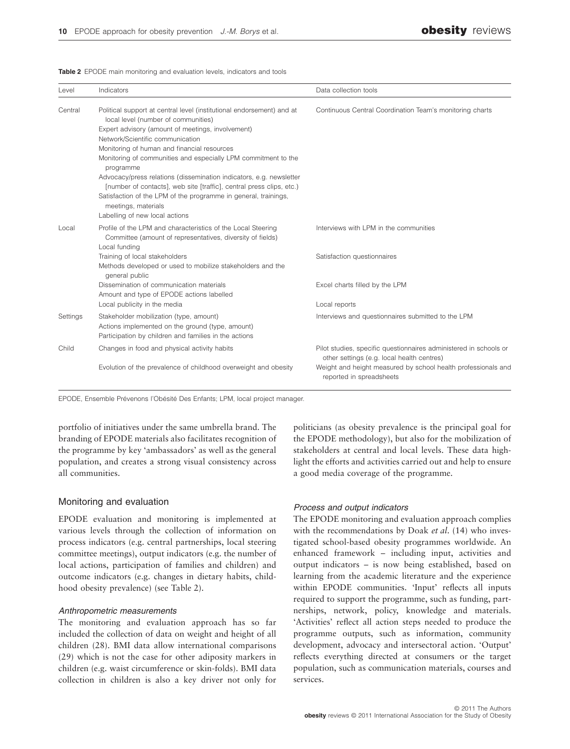| Level    | Indicators                                                                                                                                           | Data collection tools                                                                                           |  |  |
|----------|------------------------------------------------------------------------------------------------------------------------------------------------------|-----------------------------------------------------------------------------------------------------------------|--|--|
| Central  | Political support at central level (institutional endorsement) and at<br>local level (number of communities)                                         | Continuous Central Coordination Team's monitoring charts                                                        |  |  |
|          | Expert advisory (amount of meetings, involvement)                                                                                                    |                                                                                                                 |  |  |
|          | Network/Scientific communication                                                                                                                     |                                                                                                                 |  |  |
|          | Monitoring of human and financial resources                                                                                                          |                                                                                                                 |  |  |
|          | Monitoring of communities and especially LPM commitment to the<br>programme                                                                          |                                                                                                                 |  |  |
|          | Advocacy/press relations (dissemination indicators, e.g. newsletter<br>[number of contacts], web site [traffic], central press clips, etc.)          |                                                                                                                 |  |  |
|          | Satisfaction of the LPM of the programme in general, trainings,<br>meetings, materials                                                               |                                                                                                                 |  |  |
|          | Labelling of new local actions                                                                                                                       |                                                                                                                 |  |  |
| Local    | Profile of the LPM and characteristics of the Local Steering<br>Committee (amount of representatives, diversity of fields)                           | Interviews with LPM in the communities                                                                          |  |  |
|          | Local funding                                                                                                                                        |                                                                                                                 |  |  |
|          | Training of local stakeholders                                                                                                                       | Satisfaction questionnaires                                                                                     |  |  |
|          | Methods developed or used to mobilize stakeholders and the<br>general public                                                                         |                                                                                                                 |  |  |
|          | Dissemination of communication materials<br>Amount and type of EPODE actions labelled                                                                | Excel charts filled by the LPM                                                                                  |  |  |
|          | Local publicity in the media                                                                                                                         | Local reports                                                                                                   |  |  |
| Settings | Stakeholder mobilization (type, amount)<br>Actions implemented on the ground (type, amount)<br>Participation by children and families in the actions | Interviews and questionnaires submitted to the LPM                                                              |  |  |
| Child    | Changes in food and physical activity habits                                                                                                         | Pilot studies, specific questionnaires administered in schools or<br>other settings (e.g. local health centres) |  |  |
|          | Evolution of the prevalence of childhood overweight and obesity                                                                                      | Weight and height measured by school health professionals and<br>reported in spreadsheets                       |  |  |

**Table 2** EPODE main monitoring and evaluation levels, indicators and tools

EPODE, Ensemble Prévenons l'Obésité Des Enfants; LPM, local project manager.

portfolio of initiatives under the same umbrella brand. The branding of EPODE materials also facilitates recognition of the programme by key 'ambassadors' as well as the general population, and creates a strong visual consistency across all communities.

### Monitoring and evaluation

EPODE evaluation and monitoring is implemented at various levels through the collection of information on process indicators (e.g. central partnerships, local steering committee meetings), output indicators (e.g. the number of local actions, participation of families and children) and outcome indicators (e.g. changes in dietary habits, childhood obesity prevalence) (see Table 2).

#### *Anthropometric measurements*

The monitoring and evaluation approach has so far included the collection of data on weight and height of all children (28). BMI data allow international comparisons (29) which is not the case for other adiposity markers in children (e.g. waist circumference or skin-folds). BMI data collection in children is also a key driver not only for politicians (as obesity prevalence is the principal goal for the EPODE methodology), but also for the mobilization of stakeholders at central and local levels. These data highlight the efforts and activities carried out and help to ensure a good media coverage of the programme.

#### *Process and output indicators*

The EPODE monitoring and evaluation approach complies with the recommendations by Doak *et al*. (14) who investigated school-based obesity programmes worldwide. An enhanced framework – including input, activities and output indicators – is now being established, based on learning from the academic literature and the experience within EPODE communities. 'Input' reflects all inputs required to support the programme, such as funding, partnerships, network, policy, knowledge and materials. 'Activities' reflect all action steps needed to produce the programme outputs, such as information, community development, advocacy and intersectoral action. 'Output' reflects everything directed at consumers or the target population, such as communication materials, courses and services.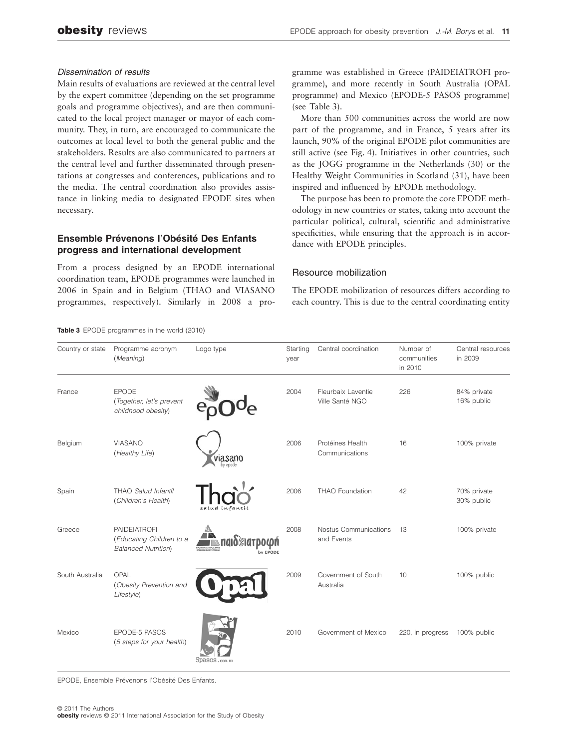### *Dissemination of results*

Main results of evaluations are reviewed at the central level by the expert committee (depending on the set programme goals and programme objectives), and are then communicated to the local project manager or mayor of each community. They, in turn, are encouraged to communicate the outcomes at local level to both the general public and the stakeholders. Results are also communicated to partners at the central level and further disseminated through presentations at congresses and conferences, publications and to the media. The central coordination also provides assistance in linking media to designated EPODE sites when necessary.

### **Ensemble Prévenons l'Obésité Des Enfants progress and international development**

From a process designed by an EPODE international coordination team, EPODE programmes were launched in 2006 in Spain and in Belgium (THAO and VIASANO programmes, respectively). Similarly in 2008 a programme was established in Greece (PAIDEIATROFI programme), and more recently in South Australia (OPAL programme) and Mexico (EPODE-5 PASOS programme) (see Table 3).

More than 500 communities across the world are now part of the programme, and in France, 5 years after its launch, 90% of the original EPODE pilot communities are still active (see Fig. 4). Initiatives in other countries, such as the JOGG programme in the Netherlands (30) or the Healthy Weight Communities in Scotland (31), have been inspired and influenced by EPODE methodology.

The purpose has been to promote the core EPODE methodology in new countries or states, taking into account the particular political, cultural, scientific and administrative specificities, while ensuring that the approach is in accordance with EPODE principles.

### Resource mobilization

The EPODE mobilization of resources differs according to each country. This is due to the central coordinating entity

| Country or state | Programme acronym<br>(Meaning)                                                | Logo type                                            | Starting<br>year | Central coordination                  | Number of<br>communities<br>in 2010 | Central resources<br>in 2009 |
|------------------|-------------------------------------------------------------------------------|------------------------------------------------------|------------------|---------------------------------------|-------------------------------------|------------------------------|
| France           | <b>EPODE</b><br>(Together, let's prevent<br>childhood obesity)                |                                                      | 2004             | Fleurbaix Laventie<br>Ville Santé NGO | 226                                 | 84% private<br>16% public    |
| Belgium          | <b>VIASANO</b><br>(Healthy Life)                                              | viasano                                              | 2006             | Protéines Health<br>Communications    | 16                                  | 100% private                 |
| Spain            | THAO Salud Infantil<br>(Children's Health)                                    | salud infantil                                       | 2006             | THAO Foundation                       | 42                                  | 70% private<br>30% public    |
| Greece           | <b>PAIDEIATROFI</b><br>(Educating Children to a<br><b>Balanced Nutrition)</b> | naıδ&larpoφń<br><b>INVESTIGA REGARDS</b><br>by EPODE | 2008             | Nostus Communications<br>and Events   | 13                                  | 100% private                 |
| South Australia  | OPAL<br>(Obesity Prevention and<br>Lifestyle)                                 |                                                      | 2009             | Government of South<br>Australia      | 10                                  | 100% public                  |
| Mexico           | EPODE-5 PASOS<br>(5 steps for your health)                                    | 5pasos.com.mx                                        | 2010             | Government of Mexico                  | 220, in progress                    | 100% public                  |

**Table 3** EPODE programmes in the world (2010)

EPODE, Ensemble Prévenons l'Obésité Des Enfants.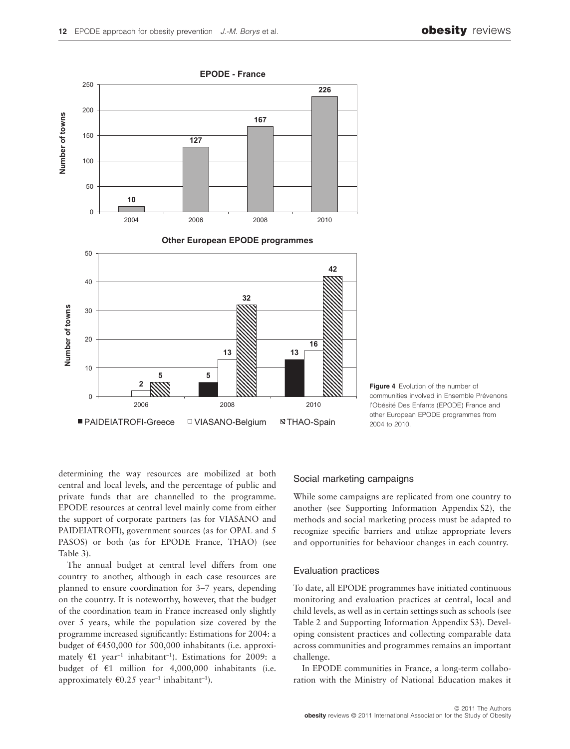

**Figure 4** Evolution of the number of communities involved in Ensemble Prévenons l'Obésité Des Enfants (EPODE) France and other European EPODE programmes from 2004 to 2010.

determining the way resources are mobilized at both central and local levels, and the percentage of public and private funds that are channelled to the programme. EPODE resources at central level mainly come from either the support of corporate partners (as for VIASANO and PAIDEIATROFI), government sources (as for OPAL and 5 PASOS) or both (as for EPODE France, THAO) (see Table 3).

The annual budget at central level differs from one country to another, although in each case resources are planned to ensure coordination for 3–7 years, depending on the country. It is noteworthy, however, that the budget of the coordination team in France increased only slightly over 5 years, while the population size covered by the programme increased significantly: Estimations for 2004: a budget of €450,000 for 500,000 inhabitants (i.e. approximately  $\epsilon$ 1 year<sup>-1</sup> inhabitant<sup>-1</sup>). Estimations for 2009: a budget of €1 million for 4,000,000 inhabitants (i.e. approximately  $\epsilon$ 0.25 year<sup>-1</sup> inhabitant<sup>-1</sup>).

#### Social marketing campaigns

While some campaigns are replicated from one country to another (see Supporting Information Appendix S2), the methods and social marketing process must be adapted to recognize specific barriers and utilize appropriate levers and opportunities for behaviour changes in each country.

#### Evaluation practices

To date, all EPODE programmes have initiated continuous monitoring and evaluation practices at central, local and child levels, as well as in certain settings such as schools (see Table 2 and Supporting Information Appendix S3). Developing consistent practices and collecting comparable data across communities and programmes remains an important challenge.

In EPODE communities in France, a long-term collaboration with the Ministry of National Education makes it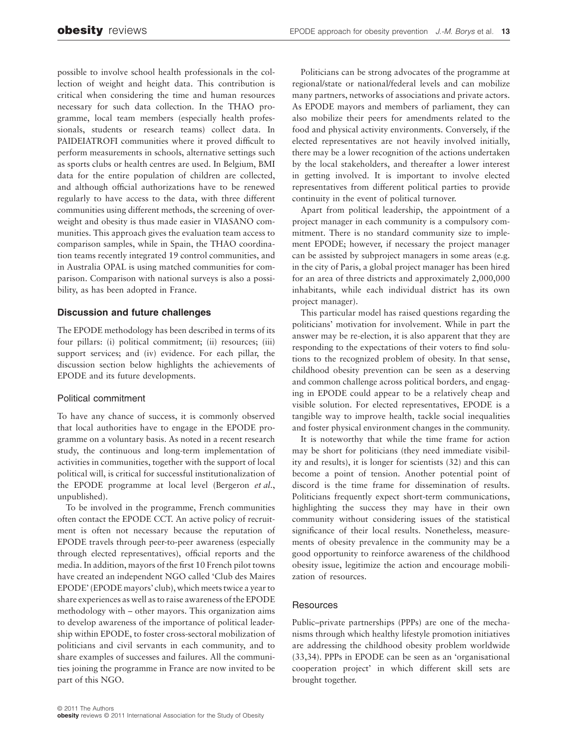possible to involve school health professionals in the collection of weight and height data. This contribution is critical when considering the time and human resources necessary for such data collection. In the THAO programme, local team members (especially health professionals, students or research teams) collect data. In PAIDEIATROFI communities where it proved difficult to perform measurements in schools, alternative settings such as sports clubs or health centres are used. In Belgium, BMI data for the entire population of children are collected, and although official authorizations have to be renewed regularly to have access to the data, with three different communities using different methods, the screening of overweight and obesity is thus made easier in VIASANO communities. This approach gives the evaluation team access to comparison samples, while in Spain, the THAO coordination teams recently integrated 19 control communities, and in Australia OPAL is using matched communities for comparison. Comparison with national surveys is also a possibility, as has been adopted in France.

### **Discussion and future challenges**

The EPODE methodology has been described in terms of its four pillars: (i) political commitment; (ii) resources; (iii) support services; and (iv) evidence. For each pillar, the discussion section below highlights the achievements of EPODE and its future developments.

### Political commitment

To have any chance of success, it is commonly observed that local authorities have to engage in the EPODE programme on a voluntary basis. As noted in a recent research study, the continuous and long-term implementation of activities in communities, together with the support of local political will, is critical for successful institutionalization of the EPODE programme at local level (Bergeron *et al*., unpublished).

To be involved in the programme, French communities often contact the EPODE CCT. An active policy of recruitment is often not necessary because the reputation of EPODE travels through peer-to-peer awareness (especially through elected representatives), official reports and the media. In addition, mayors of the first 10 French pilot towns have created an independent NGO called 'Club des Maires EPODE' (EPODE mayors' club), which meets twice a year to share experiences as well as to raise awareness of the EPODE methodology with – other mayors. This organization aims to develop awareness of the importance of political leadership within EPODE, to foster cross-sectoral mobilization of politicians and civil servants in each community, and to share examples of successes and failures. All the communities joining the programme in France are now invited to be part of this NGO.

Politicians can be strong advocates of the programme at regional/state or national/federal levels and can mobilize many partners, networks of associations and private actors. As EPODE mayors and members of parliament, they can also mobilize their peers for amendments related to the food and physical activity environments. Conversely, if the elected representatives are not heavily involved initially, there may be a lower recognition of the actions undertaken by the local stakeholders, and thereafter a lower interest in getting involved. It is important to involve elected representatives from different political parties to provide continuity in the event of political turnover.

Apart from political leadership, the appointment of a project manager in each community is a compulsory commitment. There is no standard community size to implement EPODE; however, if necessary the project manager can be assisted by subproject managers in some areas (e.g. in the city of Paris, a global project manager has been hired for an area of three districts and approximately 2,000,000 inhabitants, while each individual district has its own project manager).

This particular model has raised questions regarding the politicians' motivation for involvement. While in part the answer may be re-election, it is also apparent that they are responding to the expectations of their voters to find solutions to the recognized problem of obesity. In that sense, childhood obesity prevention can be seen as a deserving and common challenge across political borders, and engaging in EPODE could appear to be a relatively cheap and visible solution. For elected representatives, EPODE is a tangible way to improve health, tackle social inequalities and foster physical environment changes in the community.

It is noteworthy that while the time frame for action may be short for politicians (they need immediate visibility and results), it is longer for scientists (32) and this can become a point of tension. Another potential point of discord is the time frame for dissemination of results. Politicians frequently expect short-term communications, highlighting the success they may have in their own community without considering issues of the statistical significance of their local results. Nonetheless, measurements of obesity prevalence in the community may be a good opportunity to reinforce awareness of the childhood obesity issue, legitimize the action and encourage mobilization of resources.

### **Resources**

Public–private partnerships (PPPs) are one of the mechanisms through which healthy lifestyle promotion initiatives are addressing the childhood obesity problem worldwide (33,34). PPPs in EPODE can be seen as an 'organisational cooperation project' in which different skill sets are brought together.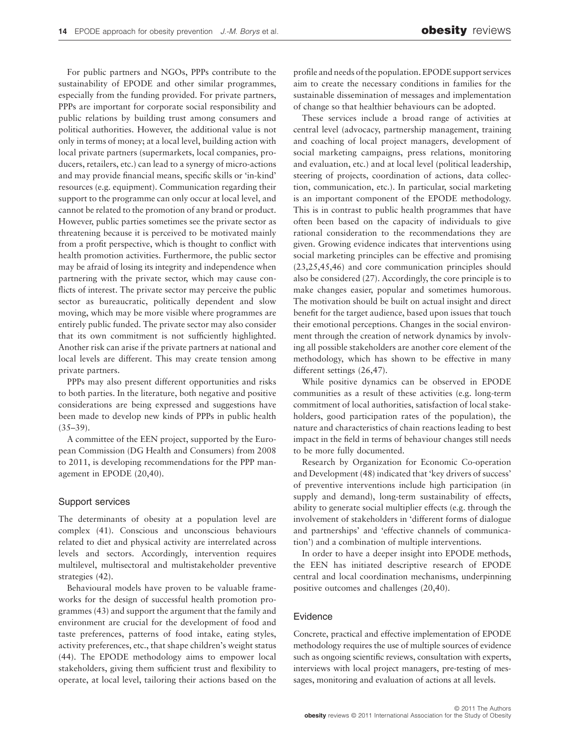For public partners and NGOs, PPPs contribute to the sustainability of EPODE and other similar programmes, especially from the funding provided. For private partners, PPPs are important for corporate social responsibility and public relations by building trust among consumers and political authorities. However, the additional value is not only in terms of money; at a local level, building action with local private partners (supermarkets, local companies, producers, retailers, etc.) can lead to a synergy of micro-actions and may provide financial means, specific skills or 'in-kind' resources (e.g. equipment). Communication regarding their support to the programme can only occur at local level, and cannot be related to the promotion of any brand or product. However, public parties sometimes see the private sector as threatening because it is perceived to be motivated mainly from a profit perspective, which is thought to conflict with health promotion activities. Furthermore, the public sector may be afraid of losing its integrity and independence when partnering with the private sector, which may cause conflicts of interest. The private sector may perceive the public sector as bureaucratic, politically dependent and slow moving, which may be more visible where programmes are entirely public funded. The private sector may also consider that its own commitment is not sufficiently highlighted. Another risk can arise if the private partners at national and local levels are different. This may create tension among private partners.

PPPs may also present different opportunities and risks to both parties. In the literature, both negative and positive considerations are being expressed and suggestions have been made to develop new kinds of PPPs in public health  $(35-39)$ .

A committee of the EEN project, supported by the European Commission (DG Health and Consumers) from 2008 to 2011, is developing recommendations for the PPP management in EPODE (20,40).

#### Support services

The determinants of obesity at a population level are complex (41). Conscious and unconscious behaviours related to diet and physical activity are interrelated across levels and sectors. Accordingly, intervention requires multilevel, multisectoral and multistakeholder preventive strategies (42).

Behavioural models have proven to be valuable frameworks for the design of successful health promotion programmes (43) and support the argument that the family and environment are crucial for the development of food and taste preferences, patterns of food intake, eating styles, activity preferences, etc., that shape children's weight status (44). The EPODE methodology aims to empower local stakeholders, giving them sufficient trust and flexibility to operate, at local level, tailoring their actions based on the

profile and needs of the population. EPODE support services aim to create the necessary conditions in families for the sustainable dissemination of messages and implementation of change so that healthier behaviours can be adopted.

These services include a broad range of activities at central level (advocacy, partnership management, training and coaching of local project managers, development of social marketing campaigns, press relations, monitoring and evaluation, etc.) and at local level (political leadership, steering of projects, coordination of actions, data collection, communication, etc.). In particular, social marketing is an important component of the EPODE methodology. This is in contrast to public health programmes that have often been based on the capacity of individuals to give rational consideration to the recommendations they are given. Growing evidence indicates that interventions using social marketing principles can be effective and promising (23,25,45,46) and core communication principles should also be considered (27). Accordingly, the core principle is to make changes easier, popular and sometimes humorous. The motivation should be built on actual insight and direct benefit for the target audience, based upon issues that touch their emotional perceptions. Changes in the social environment through the creation of network dynamics by involving all possible stakeholders are another core element of the methodology, which has shown to be effective in many different settings (26,47).

While positive dynamics can be observed in EPODE communities as a result of these activities (e.g. long-term commitment of local authorities, satisfaction of local stakeholders, good participation rates of the population), the nature and characteristics of chain reactions leading to best impact in the field in terms of behaviour changes still needs to be more fully documented.

Research by Organization for Economic Co-operation and Development (48) indicated that 'key drivers of success' of preventive interventions include high participation (in supply and demand), long-term sustainability of effects, ability to generate social multiplier effects (e.g. through the involvement of stakeholders in 'different forms of dialogue and partnerships' and 'effective channels of communication') and a combination of multiple interventions.

In order to have a deeper insight into EPODE methods, the EEN has initiated descriptive research of EPODE central and local coordination mechanisms, underpinning positive outcomes and challenges (20,40).

#### Evidence

Concrete, practical and effective implementation of EPODE methodology requires the use of multiple sources of evidence such as ongoing scientific reviews, consultation with experts, interviews with local project managers, pre-testing of messages, monitoring and evaluation of actions at all levels.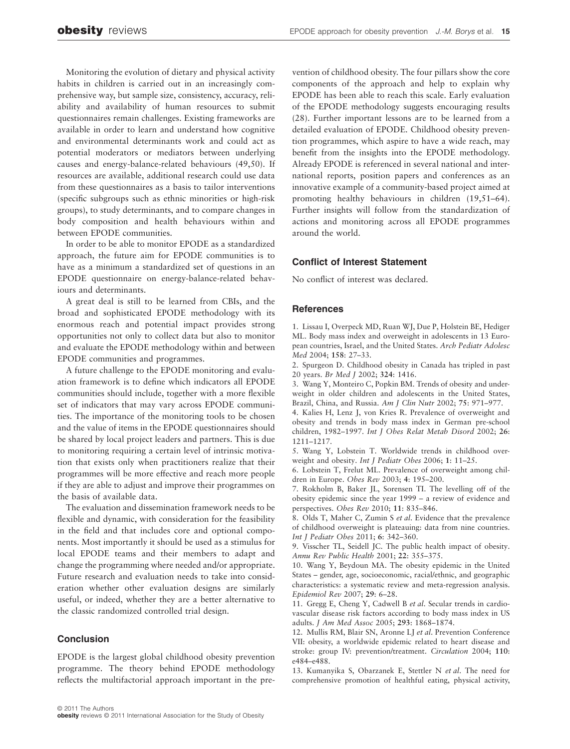Monitoring the evolution of dietary and physical activity habits in children is carried out in an increasingly comprehensive way, but sample size, consistency, accuracy, reliability and availability of human resources to submit questionnaires remain challenges. Existing frameworks are available in order to learn and understand how cognitive and environmental determinants work and could act as potential moderators or mediators between underlying causes and energy-balance-related behaviours (49,50). If resources are available, additional research could use data from these questionnaires as a basis to tailor interventions (specific subgroups such as ethnic minorities or high-risk groups), to study determinants, and to compare changes in body composition and health behaviours within and between EPODE communities.

In order to be able to monitor EPODE as a standardized approach, the future aim for EPODE communities is to have as a minimum a standardized set of questions in an EPODE questionnaire on energy-balance-related behaviours and determinants.

A great deal is still to be learned from CBIs, and the broad and sophisticated EPODE methodology with its enormous reach and potential impact provides strong opportunities not only to collect data but also to monitor and evaluate the EPODE methodology within and between EPODE communities and programmes.

A future challenge to the EPODE monitoring and evaluation framework is to define which indicators all EPODE communities should include, together with a more flexible set of indicators that may vary across EPODE communities. The importance of the monitoring tools to be chosen and the value of items in the EPODE questionnaires should be shared by local project leaders and partners. This is due to monitoring requiring a certain level of intrinsic motivation that exists only when practitioners realize that their programmes will be more effective and reach more people if they are able to adjust and improve their programmes on the basis of available data.

The evaluation and dissemination framework needs to be flexible and dynamic, with consideration for the feasibility in the field and that includes core and optional components. Most importantly it should be used as a stimulus for local EPODE teams and their members to adapt and change the programming where needed and/or appropriate. Future research and evaluation needs to take into consideration whether other evaluation designs are similarly useful, or indeed, whether they are a better alternative to the classic randomized controlled trial design.

### **Conclusion**

EPODE is the largest global childhood obesity prevention programme. The theory behind EPODE methodology reflects the multifactorial approach important in the prevention of childhood obesity. The four pillars show the core components of the approach and help to explain why EPODE has been able to reach this scale. Early evaluation of the EPODE methodology suggests encouraging results (28). Further important lessons are to be learned from a detailed evaluation of EPODE. Childhood obesity prevention programmes, which aspire to have a wide reach, may benefit from the insights into the EPODE methodology. Already EPODE is referenced in several national and international reports, position papers and conferences as an innovative example of a community-based project aimed at promoting healthy behaviours in children (19,51–64). Further insights will follow from the standardization of actions and monitoring across all EPODE programmes around the world.

### **Conflict of Interest Statement**

No conflict of interest was declared.

### **References**

1. Lissau I, Overpeck MD, Ruan WJ, Due P, Holstein BE, Hediger ML. Body mass index and overweight in adolescents in 13 European countries, Israel, and the United States. *Arch Pediatr Adolesc Med* 2004; **158**: 27–33.

2. Spurgeon D. Childhood obesity in Canada has tripled in past 20 years. *Br Med J* 2002; **324**: 1416.

3. Wang Y, Monteiro C, Popkin BM. Trends of obesity and underweight in older children and adolescents in the United States, Brazil, China, and Russia. *Am J Clin Nutr* 2002; **75**: 971–977.

4. Kalies H, Lenz J, von Kries R. Prevalence of overweight and obesity and trends in body mass index in German pre-school children, 1982–1997. *Int J Obes Relat Metab Disord* 2002; **26**: 1211–1217.

5. Wang Y, Lobstein T. Worldwide trends in childhood overweight and obesity. *Int J Pediatr Obes* 2006; **1**: 11–25.

6. Lobstein T, Frelut ML. Prevalence of overweight among children in Europe. *Obes Rev* 2003; **4**: 195–200.

7. Rokholm B, Baker JL, Sorensen TI. The levelling off of the obesity epidemic since the year 1999 – a review of evidence and perspectives. *Obes Rev* 2010; **11**: 835–846.

8. Olds T, Maher C, Zumin S *et al*. Evidence that the prevalence of childhood overweight is plateauing: data from nine countries. *Int J Pediatr Obes* 2011; **6**: 342–360.

9. Visscher TL, Seidell JC. The public health impact of obesity. *Annu Rev Public Health* 2001; **22**: 355–375.

10. Wang Y, Beydoun MA. The obesity epidemic in the United States – gender, age, socioeconomic, racial/ethnic, and geographic characteristics: a systematic review and meta-regression analysis. *Epidemiol Rev* 2007; **29**: 6–28.

11. Gregg E, Cheng Y, Cadwell B *et al*. Secular trends in cardiovascular disease risk factors according to body mass index in US adults. *J Am Med Assoc* 2005; **293**: 1868–1874.

12. Mullis RM, Blair SN, Aronne LJ *et al*. Prevention Conference VII: obesity, a worldwide epidemic related to heart disease and stroke: group IV: prevention/treatment. *Circulation* 2004; **110**: e484–e488.

13. Kumanyika S, Obarzanek E, Stettler N *et al*. The need for comprehensive promotion of healthful eating, physical activity,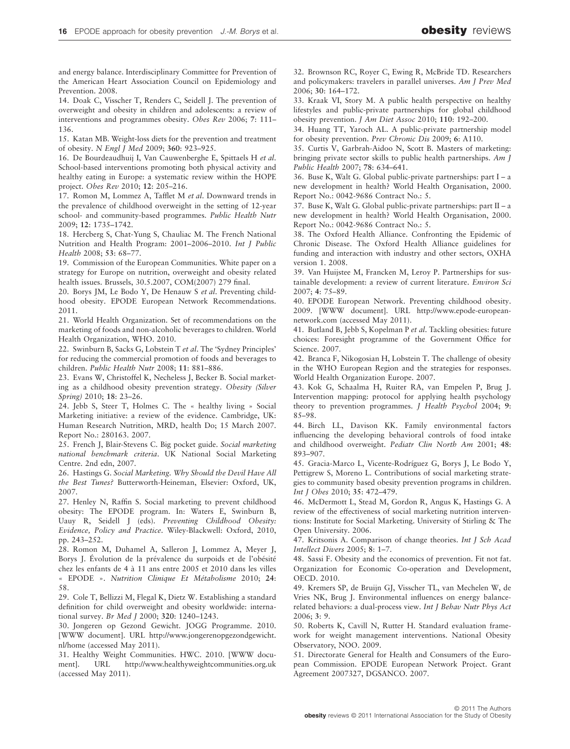and energy balance. Interdisciplinary Committee for Prevention of the American Heart Association Council on Epidemiology and Prevention. 2008.

14. Doak C, Visscher T, Renders C, Seidell J. The prevention of overweight and obesity in children and adolescents: a review of interventions and programmes obesity. *Obes Rev* 2006; **7**: 111– 136.

15. Katan MB. Weight-loss diets for the prevention and treatment of obesity. *N Engl J Med* 2009; **360**: 923–925.

16. De Bourdeaudhuij I, Van Cauwenberghe E, Spittaels H *et al*. School-based interventions promoting both physical activity and healthy eating in Europe: a systematic review within the HOPE project. *Obes Rev* 2010; **12**: 205–216.

17. Romon M, Lommez A, Tafflet M *et al*. Downward trends in the prevalence of childhood overweight in the setting of 12-year school- and community-based programmes. *Public Health Nutr* 2009; **12**: 1735–1742.

18. Hercberg S, Chat-Yung S, Chauliac M. The French National Nutrition and Health Program: 2001–2006–2010. *Int J Public Health* 2008; **53**: 68–77.

19. Commission of the European Communities. White paper on a strategy for Europe on nutrition, overweight and obesity related health issues. Brussels, 30.5.2007, COM(2007) 279 final.

20. Borys JM, Le Bodo Y, De Henauw S *et al*. Preventing childhood obesity. EPODE European Network Recommendations. 2011.

21. World Health Organization. Set of recommendations on the marketing of foods and non-alcoholic beverages to children. World Health Organization, WHO. 2010.

22. Swinburn B, Sacks G, Lobstein T *et al*. The 'Sydney Principles' for reducing the commercial promotion of foods and beverages to children. *Public Health Nutr* 2008; **11**: 881–886.

23. Evans W, Christoffel K, Necheless J, Becker B. Social marketing as a childhood obesity prevention strategy. *Obesity (Silver Spring)* 2010; **18**: 23–26.

24. Jebb S, Steer T, Holmes C. The « healthy living » Social Marketing initiative: a review of the evidence. Cambridge, UK: Human Research Nutrition, MRD, health Do; 15 March 2007. Report No.: 280163. 2007.

25. French J, Blair-Stevens C. Big pocket guide. *Social marketing national benchmark criteria*. UK National Social Marketing Centre. 2nd edn, 2007.

26. Hastings G. *Social Marketing. Why Should the Devil Have All the Best Tunes?* Butterworth-Heineman, Elsevier: Oxford, UK, 2007.

27. Henley N, Raffin S. Social marketing to prevent childhood obesity: The EPODE program. In: Waters E, Swinburn B, Uauy R, Seidell J (eds). *Preventing Childhood Obesity: Evidence, Policy and Practice*. Wiley-Blackwell: Oxford, 2010, pp. 243–252.

28. Romon M, Duhamel A, Salleron J, Lommez A, Meyer J, Borys J. Évolution de la prévalence du surpoids et de l'obésité chez les enfants de 4 à 11 ans entre 2005 et 2010 dans les villes « EPODE ». *Nutrition Clinique Et Métabolisme* 2010; **24**: 58.

29. Cole T, Bellizzi M, Flegal K, Dietz W. Establishing a standard definition for child overweight and obesity worldwide: international survey. *Br Med J* 2000; **320**: 1240–1243.

30. Jongeren op Gezond Gewicht. JOGG Programme. 2010. [WWW document]. URL http://www.jongerenopgezondgewicht. nl/home (accessed May 2011).

31. Healthy Weight Communities. HWC. 2010. [WWW document]. URL http://www.healthyweightcommunities.org.uk (accessed May 2011).

32. Brownson RC, Royer C, Ewing R, McBride TD. Researchers and policymakers: travelers in parallel universes. *Am J Prev Med* 2006; **30**: 164–172.

33. Kraak VI, Story M. A public health perspective on healthy lifestyles and public-private partnerships for global childhood obesity prevention. *J Am Diet Assoc* 2010; **110**: 192–200.

34. Huang TT, Yaroch AL. A public-private partnership model for obesity prevention. *Prev Chronic Dis* 2009; **6**: A110.

35. Curtis V, Garbrah-Aidoo N, Scott B. Masters of marketing: bringing private sector skills to public health partnerships. *Am J Public Health* 2007; **78**: 634–641.

36. Buse K, Walt G. Global public-private partnerships: partI–a new development in health? World Health Organisation, 2000. Report No.: 0042-9686 Contract No.: 5.

37. Buse K, Walt G. Global public-private partnerships: part II – a new development in health? World Health Organisation, 2000. Report No.: 0042-9686 Contract No.: 5.

38. The Oxford Health Alliance. Confronting the Epidemic of Chronic Disease. The Oxford Health Alliance guidelines for funding and interaction with industry and other sectors, OXHA version 1. 2008.

39. Van Huijstee M, Francken M, Leroy P. Partnerships for sustainable development: a review of current literature. *Environ Sci* 2007; **4**: 75–89.

40. EPODE European Network. Preventing childhood obesity. 2009. [WWW document]. URL http://www.epode-europeannetwork.com (accessed May 2011).

41. Butland B, Jebb S, Kopelman P *et al*. Tackling obesities: future choices: Foresight programme of the Government Office for Science. 2007.

42. Branca F, Nikogosian H, Lobstein T. The challenge of obesity in the WHO European Region and the strategies for responses. World Health Organization Europe. 2007.

43. Kok G, Schaalma H, Ruiter RA, van Empelen P, Brug J. Intervention mapping: protocol for applying health psychology theory to prevention programmes. *J Health Psychol* 2004; **9**: 85–98.

44. Birch LL, Davison KK. Family environmental factors influencing the developing behavioral controls of food intake and childhood overweight. *Pediatr Clin North Am* 2001; **48**: 893–907.

45. Gracia-Marco L, Vicente-Rodríguez G, Borys J, Le Bodo Y, Pettigrew S, Moreno L. Contributions of social marketing strategies to community based obesity prevention programs in children. *Int J Obes* 2010; **35**: 472–479.

46. McDermott L, Stead M, Gordon R, Angus K, Hastings G. A review of the effectiveness of social marketing nutrition interventions: Institute for Social Marketing. University of Stirling & The Open University. 2006.

47. Kritsonis A. Comparison of change theories. *Int J Sch Acad Intellect Divers* 2005; **8**: 1–7.

48. Sassi F. Obesity and the economics of prevention. Fit not fat. Organization for Economic Co-operation and Development, OECD. 2010.

49. Kremers SP, de Bruijn GJ, Visscher TL, van Mechelen W, de Vries NK, Brug J. Environmental influences on energy balancerelated behaviors: a dual-process view. *Int J Behav Nutr Phys Act* 2006; **3**: 9.

50. Roberts K, Cavill N, Rutter H. Standard evaluation framework for weight management interventions. National Obesity Observatory, NOO. 2009.

51. Directorate General for Health and Consumers of the European Commission. EPODE European Network Project. Grant Agreement 2007327, DGSANCO. 2007.